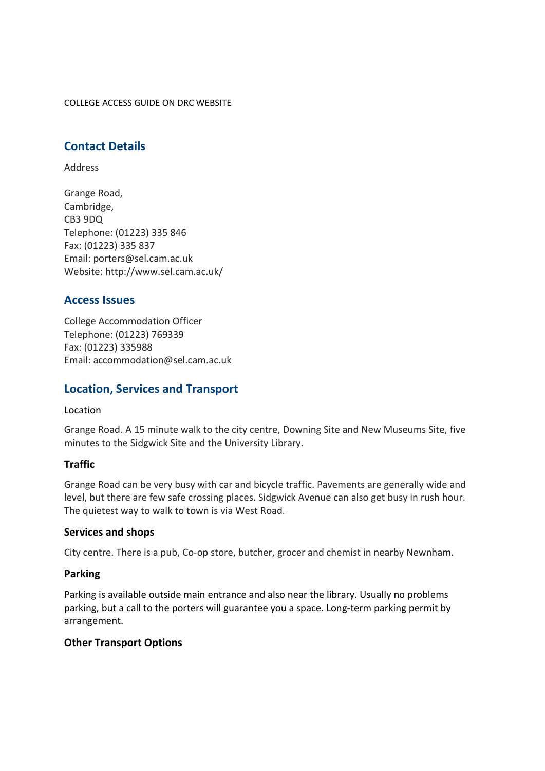COLLEGE ACCESS GUIDE ON DRC WEBSITE

## **Contact Details**

Address

Grange Road, Cambridge, CB3 9DQ Telephone: (01223) 335 846 Fax: (01223) 335 837 Email: porters@sel.cam.ac.uk Website: http://www.sel.cam.ac.uk/

## **Access Issues**

College Accommodation Officer Telephone: (01223) 769339 Fax: (01223) 335988 Email: accommodation@sel.cam.ac.uk

## **Location, Services and Transport**

Location

Grange Road. A 15 minute walk to the city centre, Downing Site and New Museums Site, five minutes to the Sidgwick Site and the University Library.

### **Traffic**

Grange Road can be very busy with car and bicycle traffic. Pavements are generally wide and level, but there are few safe crossing places. Sidgwick Avenue can also get busy in rush hour. The quietest way to walk to town is via West Road.

### **Services and shops**

City centre. There is a pub, Co-op store, butcher, grocer and chemist in nearby Newnham.

### **Parking**

Parking is available outside main entrance and also near the library. Usually no problems parking, but a call to the porters will guarantee you a space. Long-term parking permit by arrangement.

### **Other Transport Options**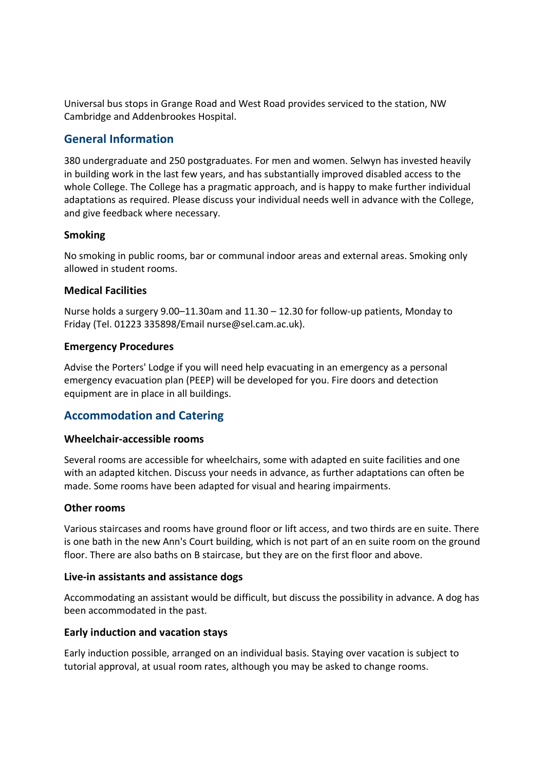Universal bus stops in Grange Road and West Road provides serviced to the station, NW Cambridge and Addenbrookes Hospital.

# **General Information**

380 undergraduate and 250 postgraduates. For men and women. Selwyn has invested heavily in building work in the last few years, and has substantially improved disabled access to the whole College. The College has a pragmatic approach, and is happy to make further individual adaptations as required. Please discuss your individual needs well in advance with the College, and give feedback where necessary.

### **Smoking**

No smoking in public rooms, bar or communal indoor areas and external areas. Smoking only allowed in student rooms.

### **Medical Facilities**

Nurse holds a surgery 9.00–11.30am and 11.30 – 12.30 for follow-up patients, Monday to Friday (Tel. 01223 335898/Email nurse@sel.cam.ac.uk).

### **Emergency Procedures**

Advise the Porters' Lodge if you will need help evacuating in an emergency as a personal emergency evacuation plan (PEEP) will be developed for you. Fire doors and detection equipment are in place in all buildings.

## **Accommodation and Catering**

### **Wheelchair-accessible rooms**

Several rooms are accessible for wheelchairs, some with adapted en suite facilities and one with an adapted kitchen. Discuss your needs in advance, as further adaptations can often be made. Some rooms have been adapted for visual and hearing impairments.

### **Other rooms**

Various staircases and rooms have ground floor or lift access, and two thirds are en suite. There is one bath in the new Ann's Court building, which is not part of an en suite room on the ground floor. There are also baths on B staircase, but they are on the first floor and above.

### **Live-in assistants and assistance dogs**

Accommodating an assistant would be difficult, but discuss the possibility in advance. A dog has been accommodated in the past.

### **Early induction and vacation stays**

Early induction possible, arranged on an individual basis. Staying over vacation is subject to tutorial approval, at usual room rates, although you may be asked to change rooms.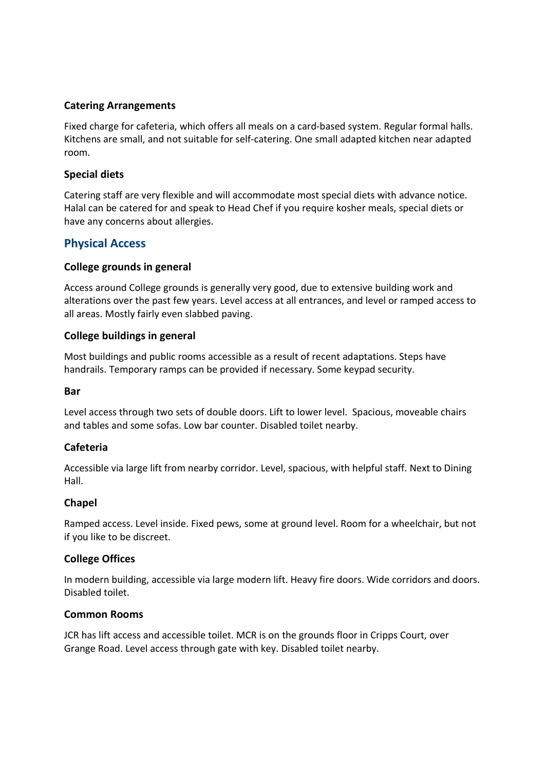### **Catering Arrangements**

Fixed charge for cafeteria, which offers all meals on a card-based system. Regular formal halls. Kitchens are small, and not suitable for self-catering. One small adapted kitchen near adapted room.

### **Special diets**

Catering staff are very flexible and will accommodate most special diets with advance notice. Halal can be catered for and speak to Head Chef if you require kosher meals, special diets or have any concerns about allergies.

## **Physical Access**

### **College grounds in general**

Access around College grounds is generally very good, due to extensive building work and alterations over the past few years. Level access at all entrances, and level or ramped access to all areas. Mostly fairly even slabbed paving.

### **College buildings in general**

Most buildings and public rooms accessible as a result of recent adaptations. Steps have handrails. Temporary ramps can be provided if necessary. Some keypad security.

### **Bar**

Level access through two sets of double doors. Lift to lower level. Spacious, moveable chairs and tables and some sofas. Low bar counter. Disabled toilet nearby.

### **Cafeteria**

Accessible via large lift from nearby corridor. Level, spacious, with helpful staff. Next to Dining Hall.

### **Chapel**

Ramped access. Level inside. Fixed pews, some at ground level. Room for a wheelchair, but not if you like to be discreet.

### **College Offices**

In modern building, accessible via large modern lift. Heavy fire doors. Wide corridors and doors. Disabled toilet.

### **Common Rooms**

JCR has lift access and accessible toilet. MCR is on the grounds floor in Cripps Court, over Grange Road. Level access through gate with key. Disabled toilet nearby.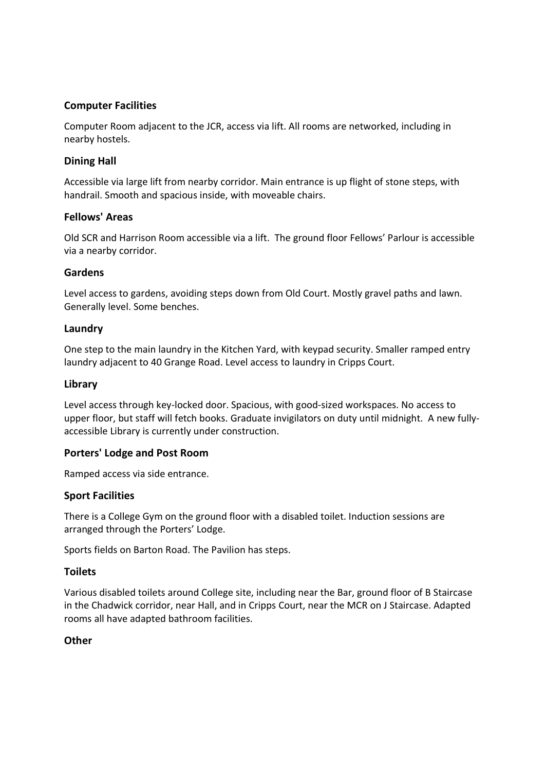### **Computer Facilities**

Computer Room adjacent to the JCR, access via lift. All rooms are networked, including in nearby hostels.

### **Dining Hall**

Accessible via large lift from nearby corridor. Main entrance is up flight of stone steps, with handrail. Smooth and spacious inside, with moveable chairs.

### **Fellows' Areas**

Old SCR and Harrison Room accessible via a lift. The ground floor Fellows' Parlour is accessible via a nearby corridor.

### **Gardens**

Level access to gardens, avoiding steps down from Old Court. Mostly gravel paths and lawn. Generally level. Some benches.

### **Laundry**

One step to the main laundry in the Kitchen Yard, with keypad security. Smaller ramped entry laundry adjacent to 40 Grange Road. Level access to laundry in Cripps Court.

### **Library**

Level access through key-locked door. Spacious, with good-sized workspaces. No access to upper floor, but staff will fetch books. Graduate invigilators on duty until midnight. A new fullyaccessible Library is currently under construction.

### **Porters' Lodge and Post Room**

Ramped access via side entrance.

### **Sport Facilities**

There is a College Gym on the ground floor with a disabled toilet. Induction sessions are arranged through the Porters' Lodge.

Sports fields on Barton Road. The Pavilion has steps.

### **Toilets**

Various disabled toilets around College site, including near the Bar, ground floor of B Staircase in the Chadwick corridor, near Hall, and in Cripps Court, near the MCR on J Staircase. Adapted rooms all have adapted bathroom facilities.

### **Other**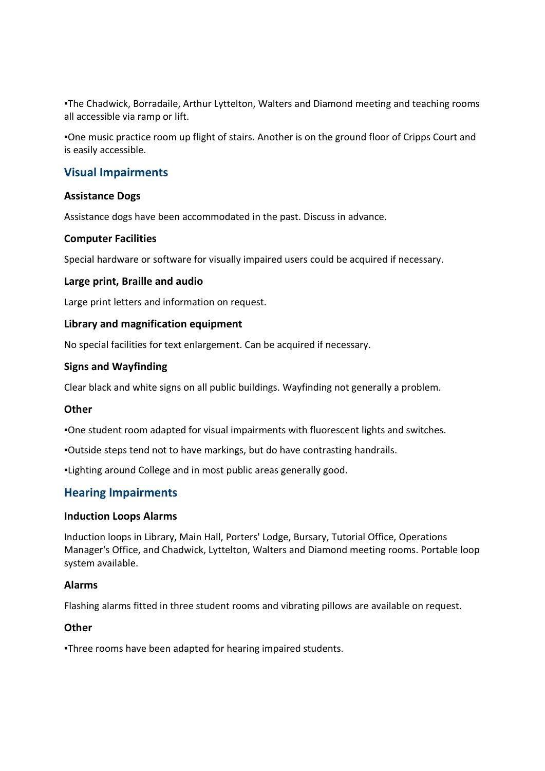▪The Chadwick, Borradaile, Arthur Lyttelton, Walters and Diamond meeting and teaching rooms all accessible via ramp or lift.

▪One music practice room up flight of stairs. Another is on the ground floor of Cripps Court and is easily accessible.

## **Visual Impairments**

### **Assistance Dogs**

Assistance dogs have been accommodated in the past. Discuss in advance.

### **Computer Facilities**

Special hardware or software for visually impaired users could be acquired if necessary.

### **Large print, Braille and audio**

Large print letters and information on request.

### **Library and magnification equipment**

No special facilities for text enlargement. Can be acquired if necessary.

### **Signs and Wayfinding**

Clear black and white signs on all public buildings. Wayfinding not generally a problem.

### **Other**

▪One student room adapted for visual impairments with fluorescent lights and switches.

▪Outside steps tend not to have markings, but do have contrasting handrails.

▪Lighting around College and in most public areas generally good.

### **Hearing Impairments**

### **Induction Loops Alarms**

Induction loops in Library, Main Hall, Porters' Lodge, Bursary, Tutorial Office, Operations Manager's Office, and Chadwick, Lyttelton, Walters and Diamond meeting rooms. Portable loop system available.

### **Alarms**

Flashing alarms fitted in three student rooms and vibrating pillows are available on request.

### **Other**

▪Three rooms have been adapted for hearing impaired students.